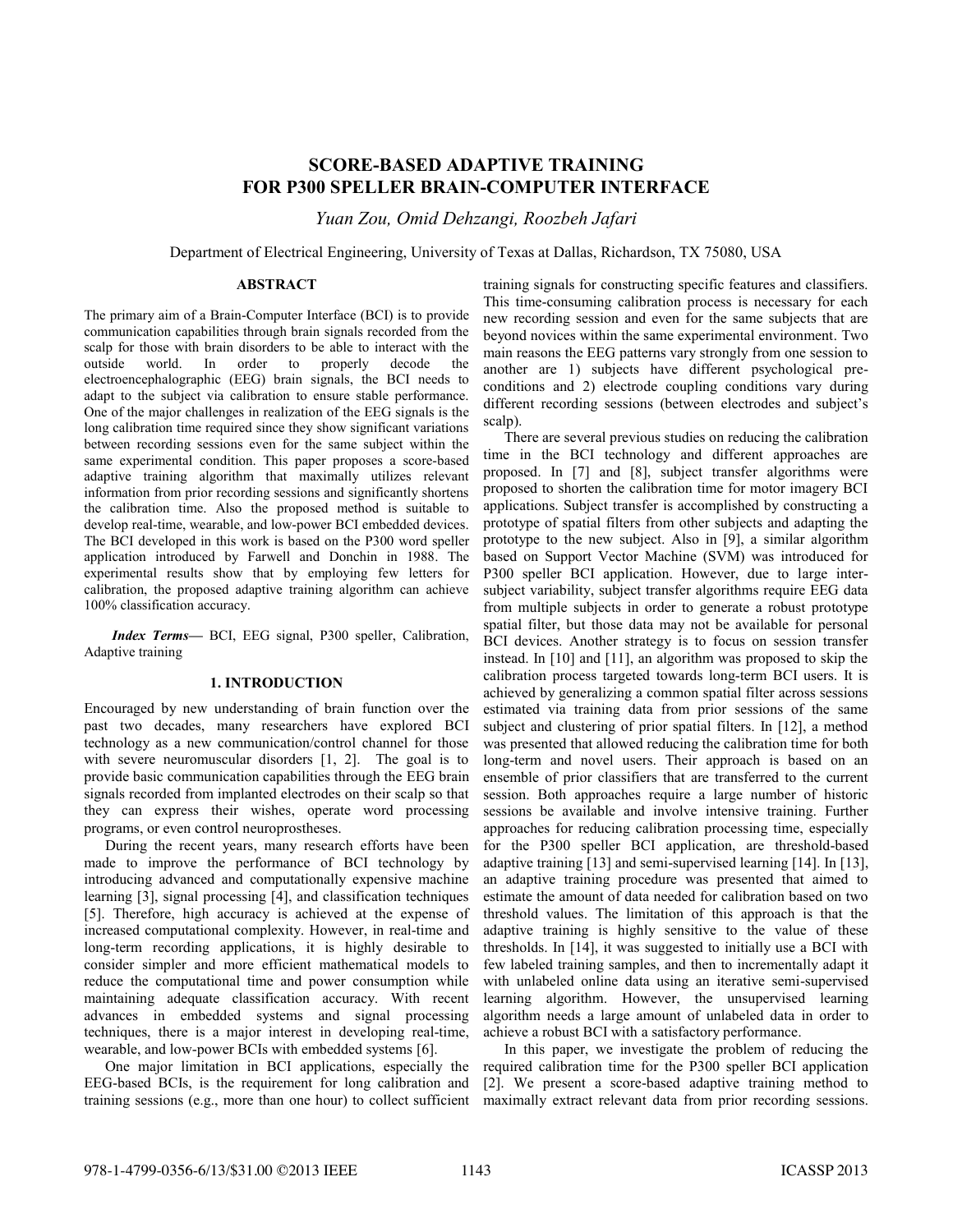# **SCORE-BASED ADAPTIVE TRAINING FOR P300 SPELLER BRAIN-COMPUTER INTERFACE**

*Yuan Zou, Omid Dehzangi, Roozbeh Jafari*

Department of Electrical Engineering, University of Texas at Dallas, Richardson, TX 75080, USA

## **ABSTRACT**

The primary aim of a Brain-Computer Interface (BCI) is to provide communication capabilities through brain signals recorded from the scalp for those with brain disorders to be able to interact with the outside world. In order to properly decode the electroencephalographic (EEG) brain signals, the BCI needs to adapt to the subject via calibration to ensure stable performance. One of the major challenges in realization of the EEG signals is the long calibration time required since they show significant variations between recording sessions even for the same subject within the same experimental condition. This paper proposes a score-based adaptive training algorithm that maximally utilizes relevant information from prior recording sessions and significantly shortens the calibration time. Also the proposed method is suitable to develop real-time, wearable, and low-power BCI embedded devices. The BCI developed in this work is based on the P300 word speller application introduced by Farwell and Donchin in 1988. The experimental results show that by employing few letters for calibration, the proposed adaptive training algorithm can achieve 100% classification accuracy.

*Index Terms—* BCI, EEG signal, P300 speller, Calibration, Adaptive training

# **1. INTRODUCTION**

Encouraged by new understanding of brain function over the past two decades, many researchers have explored BCI technology as a new communication/control channel for those with severe neuromuscular disorders [1, 2]. The goal is to provide basic communication capabilities through the EEG brain signals recorded from implanted electrodes on their scalp so that they can express their wishes, operate word processing programs, or even control neuroprostheses.

During the recent years, many research efforts have been made to improve the performance of BCI technology by introducing advanced and computationally expensive machine learning [3], signal processing [4], and classification techniques [5]. Therefore, high accuracy is achieved at the expense of increased computational complexity. However, in real-time and long-term recording applications, it is highly desirable to consider simpler and more efficient mathematical models to reduce the computational time and power consumption while maintaining adequate classification accuracy. With recent advances in embedded systems and signal processing techniques, there is a major interest in developing real-time, wearable, and low-power BCIs with embedded systems [6].

One major limitation in BCI applications, especially the EEG-based BCIs, is the requirement for long calibration and training sessions (e.g., more than one hour) to collect sufficient

training signals for constructing specific features and classifiers. This time-consuming calibration process is necessary for each new recording session and even for the same subjects that are beyond novices within the same experimental environment. Two main reasons the EEG patterns vary strongly from one session to another are 1) subjects have different psychological preconditions and 2) electrode coupling conditions vary during different recording sessions (between electrodes and subject's scalp).

There are several previous studies on reducing the calibration time in the BCI technology and different approaches are proposed. In [7] and [8], subject transfer algorithms were proposed to shorten the calibration time for motor imagery BCI applications. Subject transfer is accomplished by constructing a prototype of spatial filters from other subjects and adapting the prototype to the new subject. Also in [9], a similar algorithm based on Support Vector Machine (SVM) was introduced for P300 speller BCI application. However, due to large intersubject variability, subject transfer algorithms require EEG data from multiple subjects in order to generate a robust prototype spatial filter, but those data may not be available for personal BCI devices. Another strategy is to focus on session transfer instead. In [10] and [11], an algorithm was proposed to skip the calibration process targeted towards long-term BCI users. It is achieved by generalizing a common spatial filter across sessions estimated via training data from prior sessions of the same subject and clustering of prior spatial filters. In [12], a method was presented that allowed reducing the calibration time for both long-term and novel users. Their approach is based on an ensemble of prior classifiers that are transferred to the current session. Both approaches require a large number of historic sessions be available and involve intensive training. Further approaches for reducing calibration processing time, especially for the P300 speller BCI application, are threshold-based adaptive training [13] and semi-supervised learning [14]. In [13], an adaptive training procedure was presented that aimed to estimate the amount of data needed for calibration based on two threshold values. The limitation of this approach is that the adaptive training is highly sensitive to the value of these thresholds. In [14], it was suggested to initially use a BCI with few labeled training samples, and then to incrementally adapt it with unlabeled online data using an iterative semi-supervised learning algorithm. However, the unsupervised learning algorithm needs a large amount of unlabeled data in order to achieve a robust BCI with a satisfactory performance.

In this paper, we investigate the problem of reducing the required calibration time for the P300 speller BCI application [2]. We present a score-based adaptive training method to maximally extract relevant data from prior recording sessions.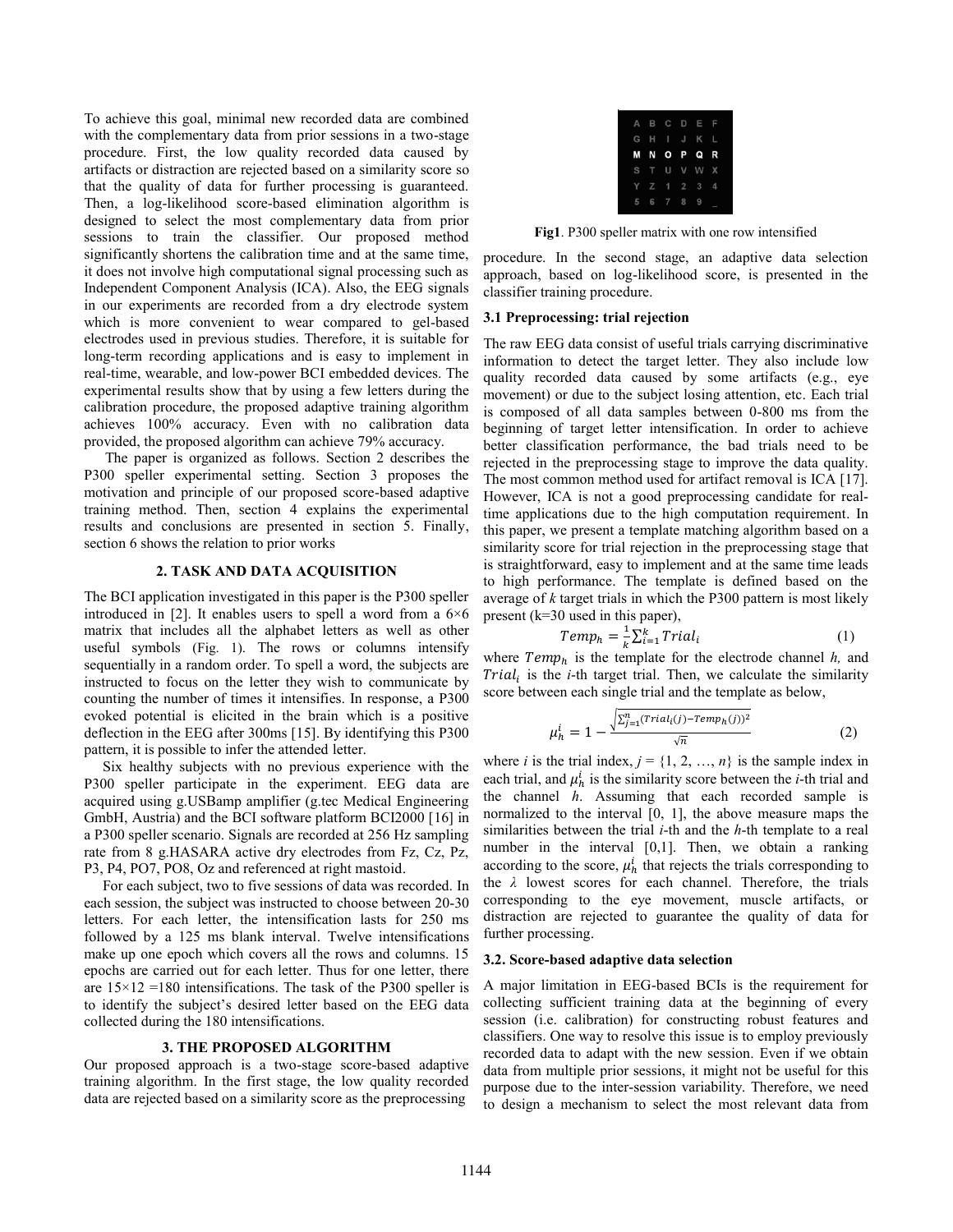To achieve this goal, minimal new recorded data are combined with the complementary data from prior sessions in a two-stage procedure. First, the low quality recorded data caused by artifacts or distraction are rejected based on a similarity score so that the quality of data for further processing is guaranteed. Then, a log-likelihood score-based elimination algorithm is designed to select the most complementary data from prior sessions to train the classifier. Our proposed method significantly shortens the calibration time and at the same time, it does not involve high computational signal processing such as Independent Component Analysis (ICA). Also, the EEG signals in our experiments are recorded from a dry electrode system which is more convenient to wear compared to gel-based electrodes used in previous studies. Therefore, it is suitable for long-term recording applications and is easy to implement in real-time, wearable, and low-power BCI embedded devices. The experimental results show that by using a few letters during the calibration procedure, the proposed adaptive training algorithm achieves 100% accuracy. Even with no calibration data provided, the proposed algorithm can achieve 79% accuracy.

The paper is organized as follows. Section 2 describes the P300 speller experimental setting. Section 3 proposes the motivation and principle of our proposed score-based adaptive training method. Then, section 4 explains the experimental results and conclusions are presented in section 5. Finally, section 6 shows the relation to prior works

## **2. TASK AND DATA ACQUISITION**

The BCI application investigated in this paper is the P300 speller introduced in [2]. It enables users to spell a word from a  $6\times6$ matrix that includes all the alphabet letters as well as other useful symbols (Fig. 1). The rows or columns intensify sequentially in a random order. To spell a word, the subjects are instructed to focus on the letter they wish to communicate by counting the number of times it intensifies. In response, a P300 evoked potential is elicited in the brain which is a positive deflection in the EEG after 300ms [15]. By identifying this P300 pattern, it is possible to infer the attended letter.

 Six healthy subjects with no previous experience with the P300 speller participate in the experiment. EEG data are acquired using g.USBamp amplifier (g.tec Medical Engineering GmbH, Austria) and the BCI software platform BCI2000 [16] in a P300 speller scenario. Signals are recorded at 256 Hz sampling rate from 8 g.HASARA active dry electrodes from Fz, Cz, Pz, P3, P4, PO7, PO8, Oz and referenced at right mastoid.

 For each subject, two to five sessions of data was recorded. In each session, the subject was instructed to choose between 20-30 letters. For each letter, the intensification lasts for 250 ms followed by a 125 ms blank interval. Twelve intensifications make up one epoch which covers all the rows and columns. 15 epochs are carried out for each letter. Thus for one letter, there are  $15\times12 = 180$  intensifications. The task of the P300 speller is to identify the subject's desired letter based on the EEG data collected during the 180 intensifications.

## **3. THE PROPOSED ALGORITHM**

Our proposed approach is a two-stage score-based adaptive training algorithm. In the first stage, the low quality recorded data are rejected based on a similarity score as the preprocessing

|  |           | A B C D E F   |  |
|--|-----------|---------------|--|
|  |           | G H I J K L   |  |
|  |           | <b>MNOPQR</b> |  |
|  |           | S T U V W X   |  |
|  |           | Y Z 1 2 3 4   |  |
|  | 5 6 7 8 9 |               |  |

**Fig1**. P300 speller matrix with one row intensified

procedure. In the second stage, an adaptive data selection approach, based on log-likelihood score, is presented in the classifier training procedure.

## **3.1 Preprocessing: trial rejection**

The raw EEG data consist of useful trials carrying discriminative information to detect the target letter. They also include low quality recorded data caused by some artifacts (e.g., eye movement) or due to the subject losing attention, etc. Each trial is composed of all data samples between 0-800 ms from the beginning of target letter intensification. In order to achieve better classification performance, the bad trials need to be rejected in the preprocessing stage to improve the data quality. The most common method used for artifact removal is ICA [17]. However, ICA is not a good preprocessing candidate for realtime applications due to the high computation requirement. In this paper, we present a template matching algorithm based on a similarity score for trial rejection in the preprocessing stage that is straightforward, easy to implement and at the same time leads to high performance. The template is defined based on the average of *k* target trials in which the P300 pattern is most likely present (k=30 used in this paper),

$$
Temp_h = \frac{1}{k} \sum_{i=1}^{k} Trial_i
$$
 (1)

where  $Temp<sub>h</sub>$  is the template for the electrode channel  $h$ , and  $Trial<sub>i</sub>$  is the *i*-th target trial. Then, we calculate the similarity score between each single trial and the template as below,

$$
\mu_h^i = 1 - \frac{\sqrt{\sum_{j=1}^n (Trial_i(j) - Temp_h(j))^2}}{\sqrt{n}} \tag{2}
$$

where *i* is the trial index,  $j = \{1, 2, ..., n\}$  is the sample index in each trial, and  $\mu_h^i$  is the similarity score between the *i*-th trial and the channel *h*. Assuming that each recorded sample is normalized to the interval [0, 1], the above measure maps the similarities between the trial *i*-th and the *h*-th template to a real number in the interval [0,1]. Then, we obtain a ranking according to the score,  $\mu_h^i$  that rejects the trials corresponding to the *λ* lowest scores for each channel. Therefore, the trials corresponding to the eye movement, muscle artifacts, or distraction are rejected to guarantee the quality of data for further processing.

#### **3.2. Score-based adaptive data selection**

A major limitation in EEG-based BCIs is the requirement for collecting sufficient training data at the beginning of every session (i.e. calibration) for constructing robust features and classifiers. One way to resolve this issue is to employ previously recorded data to adapt with the new session. Even if we obtain data from multiple prior sessions, it might not be useful for this purpose due to the inter-session variability. Therefore, we need to design a mechanism to select the most relevant data from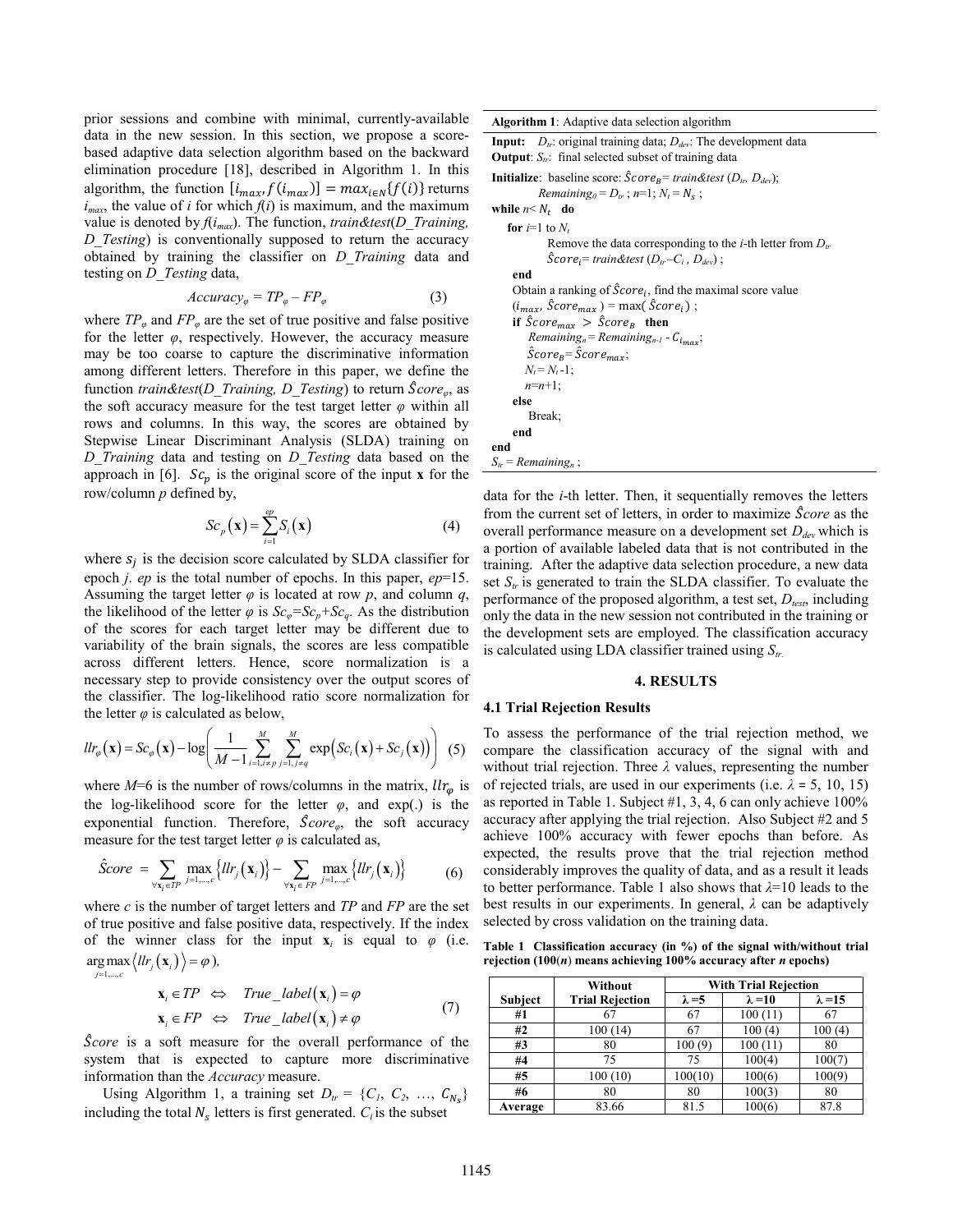prior sessions and combine with minimal, currently-available data in the new session. In this section, we propose a scorebased adaptive data selection algorithm based on the backward elimination procedure [18], described in Algorithm 1. In this algorithm, the function  $[i_{max}, f(i_{max})] = max_{i \in N} {f(i)}$  returns  $i_{max}$ , the value of *i* for which  $f(i)$  is maximum, and the maximum value is denoted by *f*(*imax*). The function, *train&test*(*D\_Training, D\_Testing*) is conventionally supposed to return the accuracy obtained by training the classifier on *D\_Training* data and testing on *D\_Testing* data,

$$
Accuracy_{\varphi} = TP_{\varphi} - FP_{\varphi} \tag{3}
$$

where  $TP_{\varphi}$  and  $FP_{\varphi}$  are the set of true positive and false positive for the letter *φ*, respectively. However, the accuracy measure may be too coarse to capture the discriminative information among different letters. Therefore in this paper, we define the function *train&test*(*D\_Training, D\_Testing*) to return ̂*coreφ*, as the soft accuracy measure for the test target letter  $\varphi$  within all rows and columns. In this way, the scores are obtained by Stepwise Linear Discriminant Analysis (SLDA) training on *D\_Training* data and testing on *D\_Testing* data based on the approach in [6].  $Sc_p$  is the original score of the input **x** for the row/column *p* defined by,

$$
Sc_p(\mathbf{x}) = \sum_{i=1}^{ep} S_i(\mathbf{x})
$$
\n(4)

where  $s_i$  is the decision score calculated by SLDA classifier for epoch *j*. *ep* is the total number of epochs. In this paper, *ep*=15. Assuming the target letter *φ* is located at row *p*, and column *q*, the likelihood of the letter  $\varphi$  is  $Sc_{\varphi} = Sc_{p} + Sc_{q}$ . As the distribution of the scores for each target letter may be different due to variability of the brain signals, the scores are less compatible across different letters. Hence, score normalization is a necessary step to provide consistency over the output scores of the classifier. The log-likelihood ratio score normalization for the letter  $\varphi$  is calculated as below,

$$
llr_{\varphi}(\mathbf{x}) = Sc_{\varphi}(\mathbf{x}) - \log \left( \frac{1}{M-1} \sum_{i=1, i \neq p}^{M} \sum_{j=1, j \neq q}^{M} \exp \left( Sc_{i}(\mathbf{x}) + Sc_{j}(\mathbf{x}) \right) \right) (5)
$$

where  $M=6$  is the number of rows/columns in the matrix,  $llr_{\varphi}$  is the log-likelihood score for the letter  $\varphi$ , and exp(.) is the exponential function. Therefore,  $\hat{S}core_{\varphi}$ , the soft accuracy measure for the test target letter  $\varphi$  is calculated as,

$$
\hat{S}core = \sum_{\forall \mathbf{x}_i \in TP} \max_{j=1,\dots,c} \{ llr_j(\mathbf{x}_i) \} - \sum_{\forall \mathbf{x}_i \in FP} \max_{j=1,\dots,c} \{ llr_j(\mathbf{x}_i) \} \tag{6}
$$

where *c* is the number of target letters and *TP* and *FP* are the set of true positive and false positive data, respectively. If the index of the winner class for the input  $\mathbf{x}_i$  is equal to  $\varphi$  (i.e.  $\arg \max \left\langle llr_j(\mathbf{x}_i)\right\rangle = \varphi$ ), 1,..., *j c*

$$
\mathbf{x}_{i} \in TP \iff True\_label(\mathbf{x}_{i}) = \varphi
$$
\n
$$
\mathbf{x}_{i} \in FP \iff True\_label(\mathbf{x}_{i}) \neq \varphi
$$
\n(7)

 ̂*core* is a soft measure for the overall performance of the system that is expected to capture more discriminative information than the *Accuracy* measure.

Using Algorithm 1, a training set  $D_t = \{C_1, C_2, ..., C_{N_s}\}\$ including the total  $N_s$  letters is first generated.  $C_i$  is the subset

**Algorithm 1**: Adaptive data selection algorithm

| <b>Input:</b> $D_{tr}$ : original training data; $D_{dev}$ : The development data   |
|-------------------------------------------------------------------------------------|
| <b>Output</b> : $S_n$ : final selected subset of training data                      |
| <b>Initialize</b> : baseline score: $\hat{Score}_B = train\&test(D_{tr}, D_{dev});$ |
| Remaining <sub>0</sub> = $Dtr$ ; n=1; N <sub>t</sub> = N <sub>s</sub> ;             |

while  $n < N_t$  do for  *to*  $*N*$ *<i>t* Remove the data corresponding to the *i*-th letter from *Dtr*  $\hat{S}core_i = train\&test(D_{tr}-C_i, D_{dev});$ **end** Obtain a ranking of  $\hat{Score}_i$ , find the maximal score value  $(i_{max}, \hat{S}core_{max}) = \max(\hat{S}core_i);$ **if**  $\hat{S}core_{max} > \hat{S}core_B$  **then**  $Remaining<sub>n</sub> = Remaining<sub>n-1</sub> - C<sub>lim, n</sub>;$  $\hat{\mathcal{S}}core_B = \hat{\mathcal{S}}core_{max};$  $N_t = N_t - 1;$  *n*=*n*+1; **else** Break; **end end**  $S_{tr}$  = *Remaining<sub>n</sub>* 

data for the *i*-th letter. Then, it sequentially removes the letters from the current set of letters, in order to maximize ̂*core* as the overall performance measure on a development set *Ddev* which is a portion of available labeled data that is not contributed in the training. After the adaptive data selection procedure, a new data set  $S_t$  is generated to train the SLDA classifier. To evaluate the performance of the proposed algorithm, a test set, *Dtest*, including only the data in the new session not contributed in the training or the development sets are employed. The classification accuracy is calculated using LDA classifier trained using *Str.*

#### **4. RESULTS**

#### **4.1 Trial Rejection Results**

To assess the performance of the trial rejection method, we compare the classification accuracy of the signal with and without trial rejection. Three *λ* values, representing the number of rejected trials, are used in our experiments (i.e.  $\lambda = 5$ , 10, 15) as reported in Table 1. Subject #1, 3, 4, 6 can only achieve 100% accuracy after applying the trial rejection. Also Subject #2 and 5 achieve 100% accuracy with fewer epochs than before. As expected, the results prove that the trial rejection method considerably improves the quality of data, and as a result it leads to better performance. Table 1 also shows that *λ*=10 leads to the best results in our experiments. In general, *λ* can be adaptively selected by cross validation on the training data.

**Table 1 Classification accuracy (in %) of the signal with/without trial rejection (100**(*n*) **means achieving 100% accuracy after** *n* **epochs)** 

|                | Without                | <b>With Trial Rejection</b> |                |                |  |  |  |  |  |
|----------------|------------------------|-----------------------------|----------------|----------------|--|--|--|--|--|
| <b>Subject</b> | <b>Trial Rejection</b> | $\lambda = 5$               | $\lambda = 10$ | $\lambda = 15$ |  |  |  |  |  |
| #1             |                        | 67                          | 100(11)        | 67             |  |  |  |  |  |
| #2             | 100 (14)               | 67                          | 100(4)         | 100(4)         |  |  |  |  |  |
| #3             | 80                     | 100(9)                      | 100(11)        | 80             |  |  |  |  |  |
| #4             | 75                     | 75                          | 100(4)         | 1000           |  |  |  |  |  |
| #5             | 100(10)                | 100(10)                     | 100(6)         | 100(9)         |  |  |  |  |  |
| #6             | 80                     | 80                          | 100(3)         | 80             |  |  |  |  |  |
| Average        | 83.66                  | 81.5                        | 100(6)         |                |  |  |  |  |  |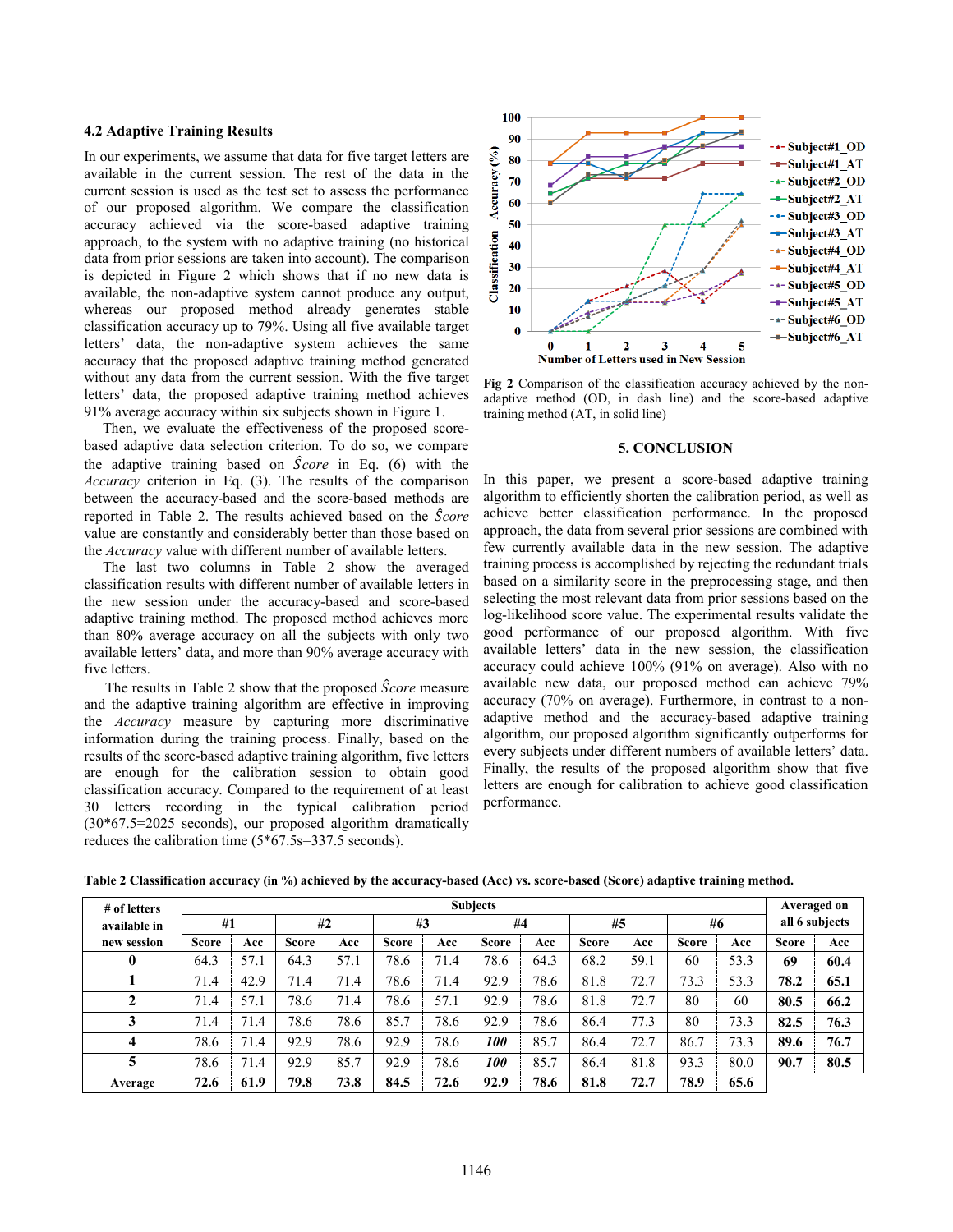## **4.2 Adaptive Training Results**

In our experiments, we assume that data for five target letters are available in the current session. The rest of the data in the current session is used as the test set to assess the performance of our proposed algorithm. We compare the classification accuracy achieved via the score-based adaptive training approach, to the system with no adaptive training (no historical data from prior sessions are taken into account). The comparison is depicted in Figure 2 which shows that if no new data is available, the non-adaptive system cannot produce any output, whereas our proposed method already generates stable classification accuracy up to 79%. Using all five available target letters' data, the non-adaptive system achieves the same accuracy that the proposed adaptive training method generated without any data from the current session. With the five target letters' data, the proposed adaptive training method achieves 91% average accuracy within six subjects shown in Figure 1.

 Then, we evaluate the effectiveness of the proposed scorebased adaptive data selection criterion. To do so, we compare the adaptive training based on ̂*core* in Eq. (6) with the *Accuracy* criterion in Eq. (3). The results of the comparison between the accuracy-based and the score-based methods are reported in Table 2. The results achieved based on the ̂*core* value are constantly and considerably better than those based on the *Accuracy* value with different number of available letters.

 The last two columns in Table 2 show the averaged classification results with different number of available letters in the new session under the accuracy-based and score-based adaptive training method. The proposed method achieves more than 80% average accuracy on all the subjects with only two available letters' data, and more than 90% average accuracy with five letters.

The results in Table 2 show that the proposed ̂*core* measure and the adaptive training algorithm are effective in improving the *Accuracy* measure by capturing more discriminative information during the training process. Finally, based on the results of the score-based adaptive training algorithm, five letters are enough for the calibration session to obtain good classification accuracy. Compared to the requirement of at least 30 letters recording in the typical calibration period (30\*67.5=2025 seconds), our proposed algorithm dramatically reduces the calibration time (5\*67.5s=337.5 seconds).



**Fig 2** Comparison of the classification accuracy achieved by the nonadaptive method (OD, in dash line) and the score-based adaptive training method (AT, in solid line)

## **5. CONCLUSION**

In this paper, we present a score-based adaptive training algorithm to efficiently shorten the calibration period, as well as achieve better classification performance. In the proposed approach, the data from several prior sessions are combined with few currently available data in the new session. The adaptive training process is accomplished by rejecting the redundant trials based on a similarity score in the preprocessing stage, and then selecting the most relevant data from prior sessions based on the log-likelihood score value. The experimental results validate the good performance of our proposed algorithm. With five available letters' data in the new session, the classification accuracy could achieve 100% (91% on average). Also with no available new data, our proposed method can achieve 79% accuracy (70% on average). Furthermore, in contrast to a nonadaptive method and the accuracy-based adaptive training algorithm, our proposed algorithm significantly outperforms for every subjects under different numbers of available letters' data. Finally, the results of the proposed algorithm show that five letters are enough for calibration to achieve good classification performance.

| # of letters |              | <b>Subjects</b> |              |      |              |      |              |      |              |      |              | Averaged on |                |      |
|--------------|--------------|-----------------|--------------|------|--------------|------|--------------|------|--------------|------|--------------|-------------|----------------|------|
| available in | #1           |                 | #2           |      | #3           |      | #4           |      | #5           |      | #6           |             | all 6 subjects |      |
| new session  | <b>Score</b> | Acc             | <b>Score</b> | Acc  | <b>Score</b> | Acc  | <b>Score</b> | Acc  | <b>Score</b> | Acc  | <b>Score</b> | Acc         | <b>Score</b>   | Acc  |
| $\bf{0}$     | 64.3         | 57.1            | 64.3         | 57.1 | 78.6         | 71.4 | 78.6         | 64.3 | 68.2         | 59.1 | 60           | 53.3        | 69             | 60.4 |
|              | 71.4         | 42.9            | 71.4         | 71.4 | 78.6         | 71.4 | 92.9         | 78.6 | 81.8         | 72.7 | 73.3         | 53.3        | 78.2           | 65.1 |
| 2            | 71.4         | 57.1            | 78.6         | 71.4 | 78.6         | 57.1 | 92.9         | 78.6 | 81.8         | 72.7 | 80           | 60          | 80.5           | 66.2 |
| 3            | 71.4         | 71.4            | 78.6         | 78.6 | 85.7         | 78.6 | 92.9         | 78.6 | 86.4         | 77.3 | 80           | 73.3        | 82.5           | 76.3 |
| 4            | 78.6         | 71.4            | 92.9         | 78.6 | 92.9         | 78.6 | <i>100</i>   | 85.7 | 86.4         | 72.7 | 86.7         | 73.3        | 89.6           | 76.7 |
| 5            | 78.6         | 71.4            | 92.9         | 85.7 | 92.9         | 78.6 | <i>100</i>   | 85.7 | 86.4         | 81.8 | 93.3         | 80.0        | 90.7           | 80.5 |
| Average      | 72.6         | 61.9            | 79.8         | 73.8 | 84.5         | 72.6 | 92.9         | 78.6 | 81.8         | 72.7 | 78.9         | 65.6        |                |      |

**Table 2 Classification accuracy (in %) achieved by the accuracy-based (Acc) vs. score-based (Score) adaptive training method.**